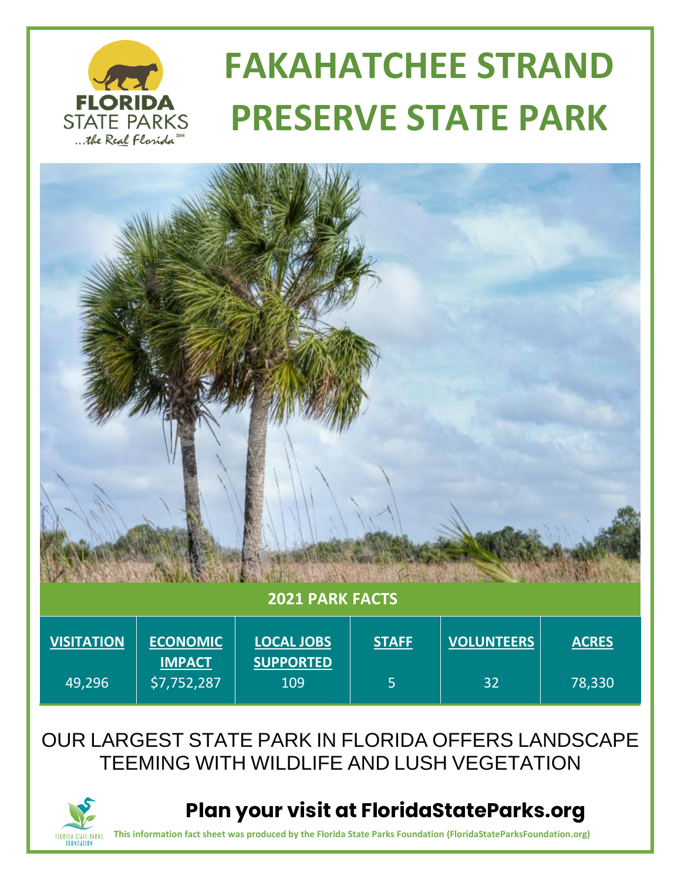

# **FAKAHATCHEE STRAND PRESERVE STATE PARK**



#### OUR LARGEST STATE PARK IN FLORIDA OFFERS LANDSCAPE TEEMING WITH WILDLIFE AND LUSH VEGETATION



 **Plan your visit at FloridaStateParks.org**

**This information fact sheet was produced by the Florida State Parks Foundation (FloridaStateParksFoundation.org)**